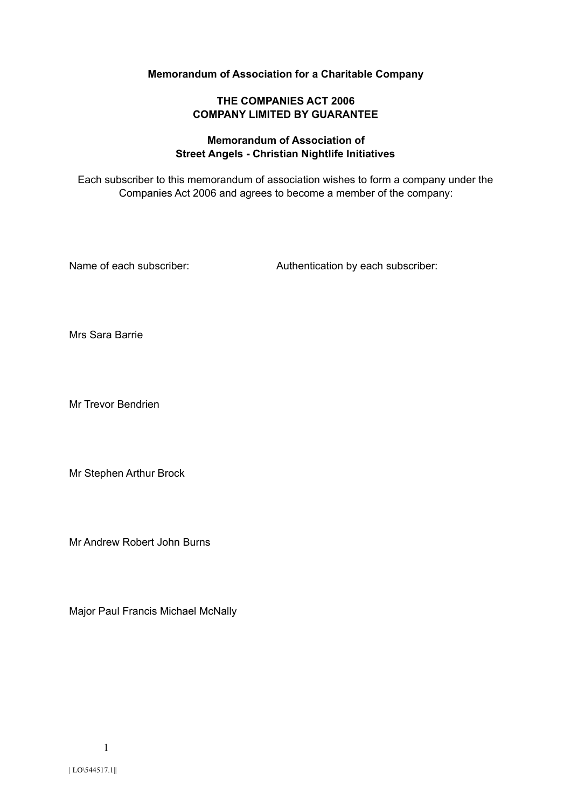# **Memorandum of Association for a Charitable Company**

# **THE COMPANIES ACT 2006 COMPANY LIMITED BY GUARANTEE**

# **Memorandum of Association of Street Angels - Christian Nightlife Initiatives**

Each subscriber to this memorandum of association wishes to form a company under the Companies Act 2006 and agrees to become a member of the company:

Name of each subscriber:  $\blacksquare$  Authentication by each subscriber:

Mrs Sara Barrie

Mr Trevor Bendrien

Mr Stephen Arthur Brock

Mr Andrew Robert John Burns

Major Paul Francis Michael McNally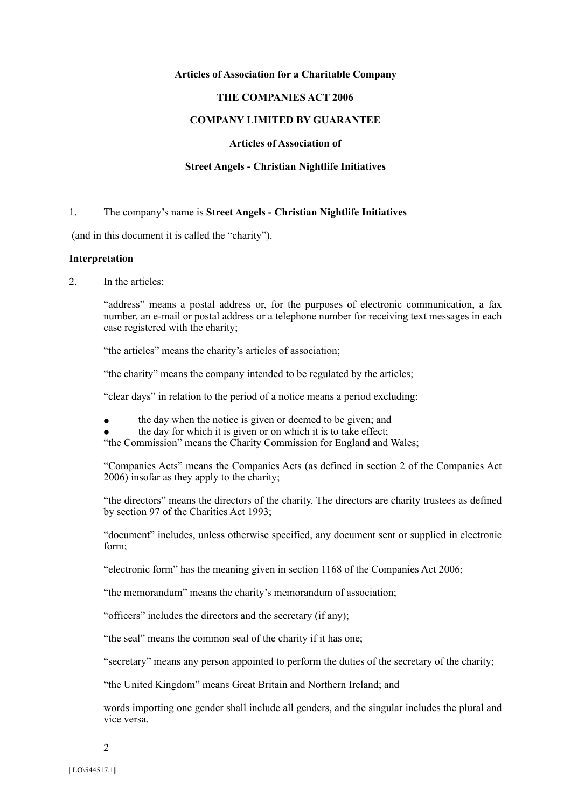#### **Articles of Association for a Charitable Company**

#### **THE COMPANIES ACT 2006**

# **COMPANY LIMITED BY GUARANTEE**

### **Articles of Association of**

#### **Street Angels - Christian Nightlife Initiatives**

#### 1. The company's name is **Street Angels - Christian Nightlife Initiatives**

(and in this document it is called the "charity").

#### **Interpretation**

2. In the articles:

"address" means a postal address or, for the purposes of electronic communication, a fax number, an e-mail or postal address or a telephone number for receiving text messages in each case registered with the charity;

"the articles" means the charity's articles of association;

"the charity" means the company intended to be regulated by the articles;

"clear days" in relation to the period of a notice means a period excluding:

- the day when the notice is given or deemed to be given; and
- the day for which it is given or on which it is to take effect;

"the Commission" means the Charity Commission for England and Wales;

"Companies Acts" means the Companies Acts (as defined in section 2 of the Companies Act 2006) insofar as they apply to the charity;

"the directors" means the directors of the charity. The directors are charity trustees as defined by section 97 of the Charities Act 1993;

"document" includes, unless otherwise specified, any document sent or supplied in electronic form;

"electronic form" has the meaning given in section 1168 of the Companies Act 2006;

"the memorandum" means the charity's memorandum of association;

"officers" includes the directors and the secretary (if any);

"the seal" means the common seal of the charity if it has one;

"secretary" means any person appointed to perform the duties of the secretary of the charity;

"the United Kingdom" means Great Britain and Northern Ireland; and

words importing one gender shall include all genders, and the singular includes the plural and vice versa.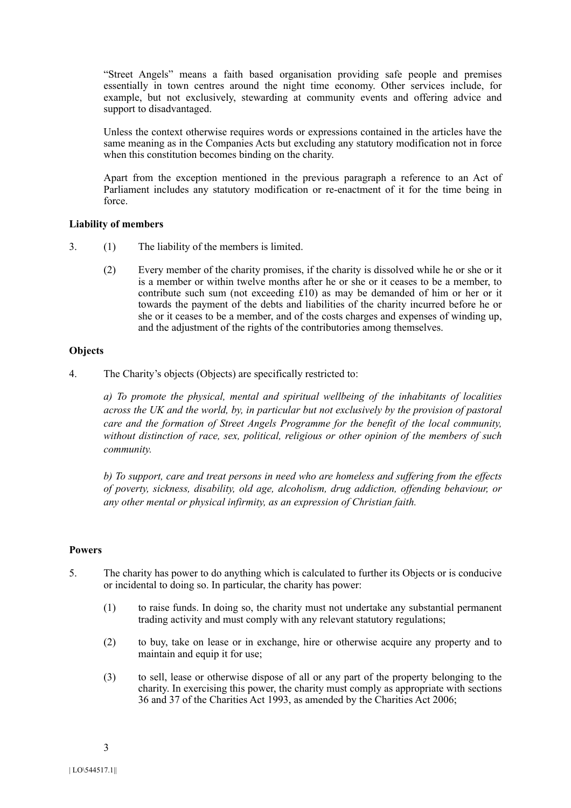"Street Angels" means a faith based organisation providing safe people and premises essentially in town centres around the night time economy. Other services include, for example, but not exclusively, stewarding at community events and offering advice and support to disadvantaged.

Unless the context otherwise requires words or expressions contained in the articles have the same meaning as in the Companies Acts but excluding any statutory modification not in force when this constitution becomes binding on the charity.

Apart from the exception mentioned in the previous paragraph a reference to an Act of Parliament includes any statutory modification or re-enactment of it for the time being in force.

# **Liability of members**

- 3. (1) The liability of the members is limited.
	- (2) Every member of the charity promises, if the charity is dissolved while he or she or it is a member or within twelve months after he or she or it ceases to be a member, to contribute such sum (not exceeding £10) as may be demanded of him or her or it towards the payment of the debts and liabilities of the charity incurred before he or she or it ceases to be a member, and of the costs charges and expenses of winding up, and the adjustment of the rights of the contributories among themselves.

# **Objects**

4. The Charity's objects (Objects) are specifically restricted to:

*a) To promote the physical, mental and spiritual wellbeing of the inhabitants of localities across the UK and the world, by, in particular but not exclusively by the provision of pastoral care and the formation of Street Angels Programme for the benefit of the local community, without distinction of race, sex, political, religious or other opinion of the members of such community.* 

*b) To support, care and treat persons in need who are homeless and suffering from the effects of poverty, sickness, disability, old age, alcoholism, drug addiction, offending behaviour, or any other mental or physical infirmity, as an expression of Christian faith.* 

## **Powers**

- 5. The charity has power to do anything which is calculated to further its Objects or is conducive or incidental to doing so. In particular, the charity has power:
	- (1) to raise funds. In doing so, the charity must not undertake any substantial permanent trading activity and must comply with any relevant statutory regulations;
	- (2) to buy, take on lease or in exchange, hire or otherwise acquire any property and to maintain and equip it for use;
	- (3) to sell, lease or otherwise dispose of all or any part of the property belonging to the charity. In exercising this power, the charity must comply as appropriate with sections 36 and 37 of the Charities Act 1993, as amended by the Charities Act 2006;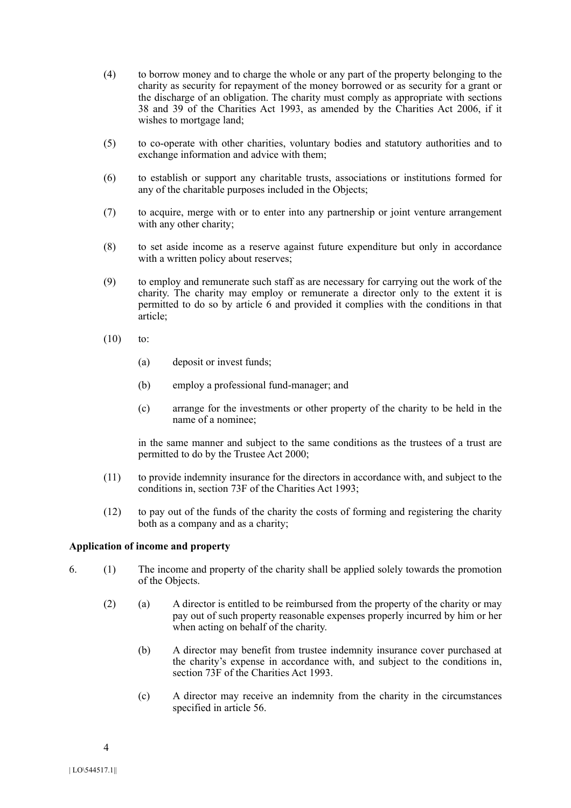- (4) to borrow money and to charge the whole or any part of the property belonging to the charity as security for repayment of the money borrowed or as security for a grant or the discharge of an obligation. The charity must comply as appropriate with sections 38 and 39 of the Charities Act 1993, as amended by the Charities Act 2006, if it wishes to mortgage land;
- (5) to co-operate with other charities, voluntary bodies and statutory authorities and to exchange information and advice with them;
- (6) to establish or support any charitable trusts, associations or institutions formed for any of the charitable purposes included in the Objects;
- (7) to acquire, merge with or to enter into any partnership or joint venture arrangement with any other charity;
- (8) to set aside income as a reserve against future expenditure but only in accordance with a written policy about reserves;
- (9) to employ and remunerate such staff as are necessary for carrying out the work of the charity. The charity may employ or remunerate a director only to the extent it is permitted to do so by article 6 and provided it complies with the conditions in that article;
- $(10)$  to:
	- (a) deposit or invest funds;
	- (b) employ a professional fund-manager; and
	- (c) arrange for the investments or other property of the charity to be held in the name of a nominee;

in the same manner and subject to the same conditions as the trustees of a trust are permitted to do by the Trustee Act 2000;

- (11) to provide indemnity insurance for the directors in accordance with, and subject to the conditions in, section 73F of the Charities Act 1993;
- (12) to pay out of the funds of the charity the costs of forming and registering the charity both as a company and as a charity;

#### **Application of income and property**

- 6. (1) The income and property of the charity shall be applied solely towards the promotion of the Objects.
	- (2) (a) A director is entitled to be reimbursed from the property of the charity or may pay out of such property reasonable expenses properly incurred by him or her when acting on behalf of the charity.
		- (b) A director may benefit from trustee indemnity insurance cover purchased at the charity's expense in accordance with, and subject to the conditions in, section 73F of the Charities Act 1993.
		- (c) A director may receive an indemnity from the charity in the circumstances specified in article 56.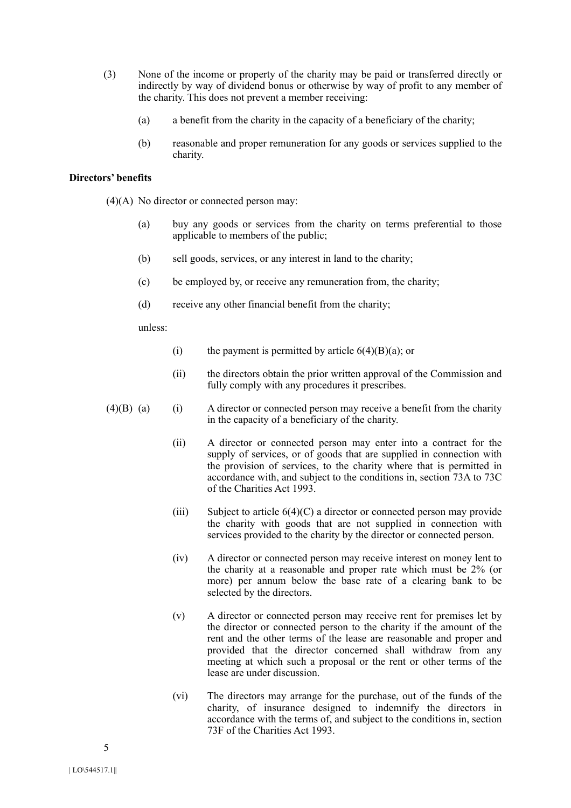- (3) None of the income or property of the charity may be paid or transferred directly or indirectly by way of dividend bonus or otherwise by way of profit to any member of the charity. This does not prevent a member receiving:
	- (a) a benefit from the charity in the capacity of a beneficiary of the charity;
	- (b) reasonable and proper remuneration for any goods or services supplied to the charity.

# **Directors' benefits**

(4)(A) No director or connected person may:

- (a) buy any goods or services from the charity on terms preferential to those applicable to members of the public;
- (b) sell goods, services, or any interest in land to the charity;
- (c) be employed by, or receive any remuneration from, the charity;
- (d) receive any other financial benefit from the charity;

unless:

- (i) the payment is permitted by article  $6(4)(B)(a)$ ; or
- (ii) the directors obtain the prior written approval of the Commission and fully comply with any procedures it prescribes.
- $(4)(B)$  (a) (i) A director or connected person may receive a benefit from the charity in the capacity of a beneficiary of the charity.
	- (ii) A director or connected person may enter into a contract for the supply of services, or of goods that are supplied in connection with the provision of services, to the charity where that is permitted in accordance with, and subject to the conditions in, section 73A to 73C of the Charities Act 1993.
	- (iii) Subject to article  $6(4)(C)$  a director or connected person may provide the charity with goods that are not supplied in connection with services provided to the charity by the director or connected person.
	- (iv) A director or connected person may receive interest on money lent to the charity at a reasonable and proper rate which must be 2% (or more) per annum below the base rate of a clearing bank to be selected by the directors.
	- (v) A director or connected person may receive rent for premises let by the director or connected person to the charity if the amount of the rent and the other terms of the lease are reasonable and proper and provided that the director concerned shall withdraw from any meeting at which such a proposal or the rent or other terms of the lease are under discussion.
	- (vi) The directors may arrange for the purchase, out of the funds of the charity, of insurance designed to indemnify the directors in accordance with the terms of, and subject to the conditions in, section 73F of the Charities Act 1993.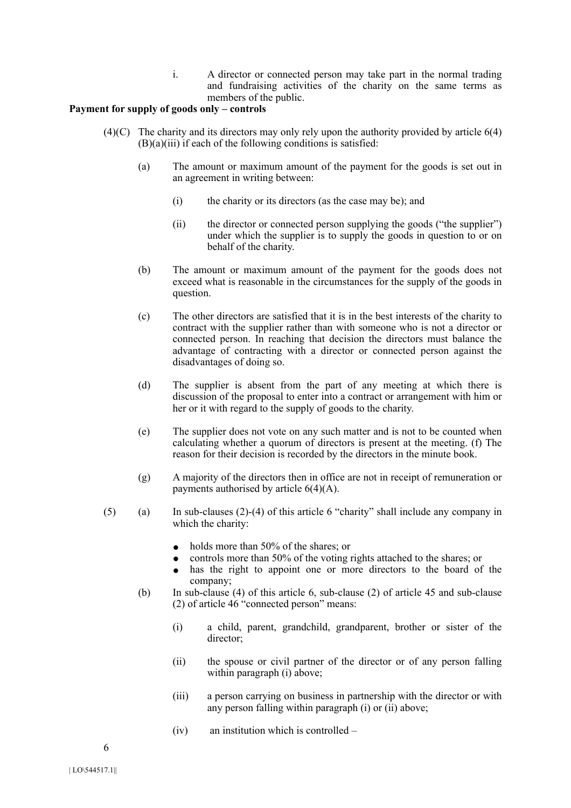i. A director or connected person may take part in the normal trading and fundraising activities of the charity on the same terms as members of the public.

## **Payment for supply of goods only – controls**

- $(4)(C)$  The charity and its directors may only rely upon the authority provided by article  $6(4)$  $(B)(a)(iii)$  if each of the following conditions is satisfied:
	- (a) The amount or maximum amount of the payment for the goods is set out in an agreement in writing between:
		- (i) the charity or its directors (as the case may be); and
		- (ii) the director or connected person supplying the goods ("the supplier") under which the supplier is to supply the goods in question to or on behalf of the charity.
	- (b) The amount or maximum amount of the payment for the goods does not exceed what is reasonable in the circumstances for the supply of the goods in question.
	- (c) The other directors are satisfied that it is in the best interests of the charity to contract with the supplier rather than with someone who is not a director or connected person. In reaching that decision the directors must balance the advantage of contracting with a director or connected person against the disadvantages of doing so.
	- (d) The supplier is absent from the part of any meeting at which there is discussion of the proposal to enter into a contract or arrangement with him or her or it with regard to the supply of goods to the charity.
	- (e) The supplier does not vote on any such matter and is not to be counted when calculating whether a quorum of directors is present at the meeting. (f) The reason for their decision is recorded by the directors in the minute book.
	- (g) A majority of the directors then in office are not in receipt of remuneration or payments authorised by article 6(4)(A).
- (5) (a) In sub-clauses (2)-(4) of this article 6 "charity" shall include any company in which the charity:
	- $\bullet$  holds more than 50% of the shares; or
	- controls more than 50% of the voting rights attached to the shares; or
	- has the right to appoint one or more directors to the board of the company;
	- (b) In sub-clause (4) of this article 6, sub-clause (2) of article 45 and sub-clause (2) of article 46 "connected person" means:
		- (i) a child, parent, grandchild, grandparent, brother or sister of the director<sup>.</sup>
		- (ii) the spouse or civil partner of the director or of any person falling within paragraph (i) above:
		- (iii) a person carrying on business in partnership with the director or with any person falling within paragraph (i) or (ii) above;
		- (iv) an institution which is controlled –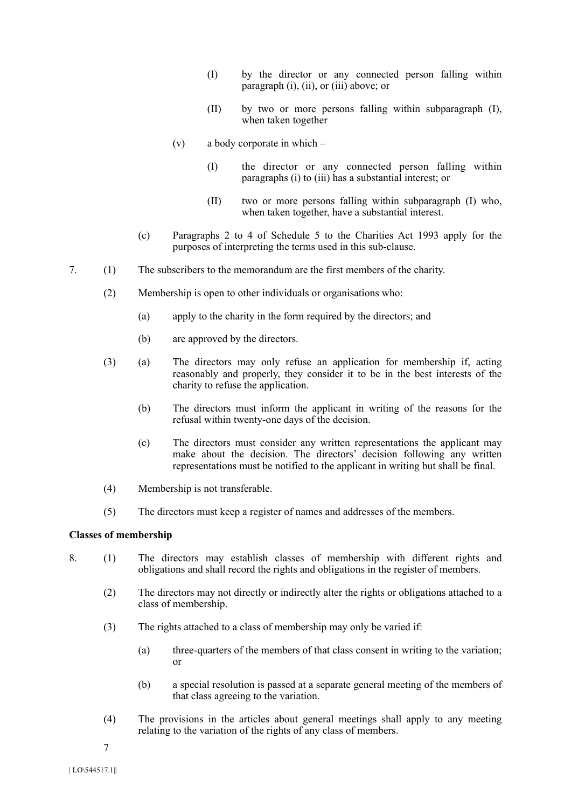- (I) by the director or any connected person falling within paragraph (i), (ii), or (iii) above; or
- (II) by two or more persons falling within subparagraph (I), when taken together
- (v) a body corporate in which
	- (I) the director or any connected person falling within paragraphs (i) to (iii) has a substantial interest; or
	- (II) two or more persons falling within subparagraph (I) who, when taken together, have a substantial interest.
- (c) Paragraphs 2 to 4 of Schedule 5 to the Charities Act 1993 apply for the purposes of interpreting the terms used in this sub-clause.
- 7. (1) The subscribers to the memorandum are the first members of the charity.
	- (2) Membership is open to other individuals or organisations who:
		- (a) apply to the charity in the form required by the directors; and
		- (b) are approved by the directors.
	- (3) (a) The directors may only refuse an application for membership if, acting reasonably and properly, they consider it to be in the best interests of the charity to refuse the application.
		- (b) The directors must inform the applicant in writing of the reasons for the refusal within twenty-one days of the decision.
		- (c) The directors must consider any written representations the applicant may make about the decision. The directors' decision following any written representations must be notified to the applicant in writing but shall be final.
	- (4) Membership is not transferable.
	- (5) The directors must keep a register of names and addresses of the members.

# **Classes of membership**

- 8. (1) The directors may establish classes of membership with different rights and obligations and shall record the rights and obligations in the register of members.
	- (2) The directors may not directly or indirectly alter the rights or obligations attached to a class of membership.
	- (3) The rights attached to a class of membership may only be varied if:
		- (a) three-quarters of the members of that class consent in writing to the variation; or
		- (b) a special resolution is passed at a separate general meeting of the members of that class agreeing to the variation.
	- (4) The provisions in the articles about general meetings shall apply to any meeting relating to the variation of the rights of any class of members.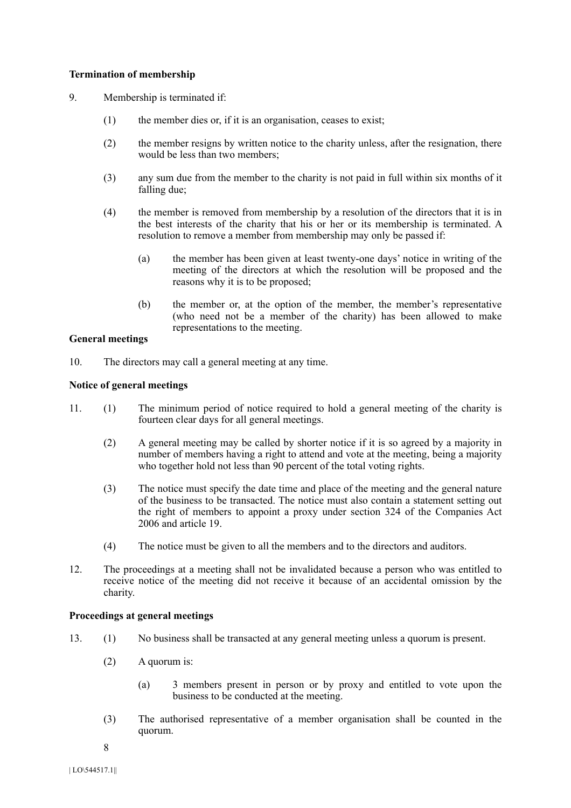# **Termination of membership**

- 9. Membership is terminated if:
	- (1) the member dies or, if it is an organisation, ceases to exist;
	- (2) the member resigns by written notice to the charity unless, after the resignation, there would be less than two members;
	- (3) any sum due from the member to the charity is not paid in full within six months of it falling due;
	- (4) the member is removed from membership by a resolution of the directors that it is in the best interests of the charity that his or her or its membership is terminated. A resolution to remove a member from membership may only be passed if:
		- (a) the member has been given at least twenty-one days' notice in writing of the meeting of the directors at which the resolution will be proposed and the reasons why it is to be proposed;
		- (b) the member or, at the option of the member, the member's representative (who need not be a member of the charity) has been allowed to make representations to the meeting.

## **General meetings**

10. The directors may call a general meeting at any time.

## **Notice of general meetings**

- 11. (1) The minimum period of notice required to hold a general meeting of the charity is fourteen clear days for all general meetings.
	- (2) A general meeting may be called by shorter notice if it is so agreed by a majority in number of members having a right to attend and vote at the meeting, being a majority who together hold not less than 90 percent of the total voting rights.
	- (3) The notice must specify the date time and place of the meeting and the general nature of the business to be transacted. The notice must also contain a statement setting out the right of members to appoint a proxy under section 324 of the Companies Act 2006 and article 19.
	- (4) The notice must be given to all the members and to the directors and auditors.
- 12. The proceedings at a meeting shall not be invalidated because a person who was entitled to receive notice of the meeting did not receive it because of an accidental omission by the charity.

# **Proceedings at general meetings**

- 13. (1) No business shall be transacted at any general meeting unless a quorum is present.
	- (2) A quorum is:
		- (a) 3 members present in person or by proxy and entitled to vote upon the business to be conducted at the meeting.
	- (3) The authorised representative of a member organisation shall be counted in the quorum.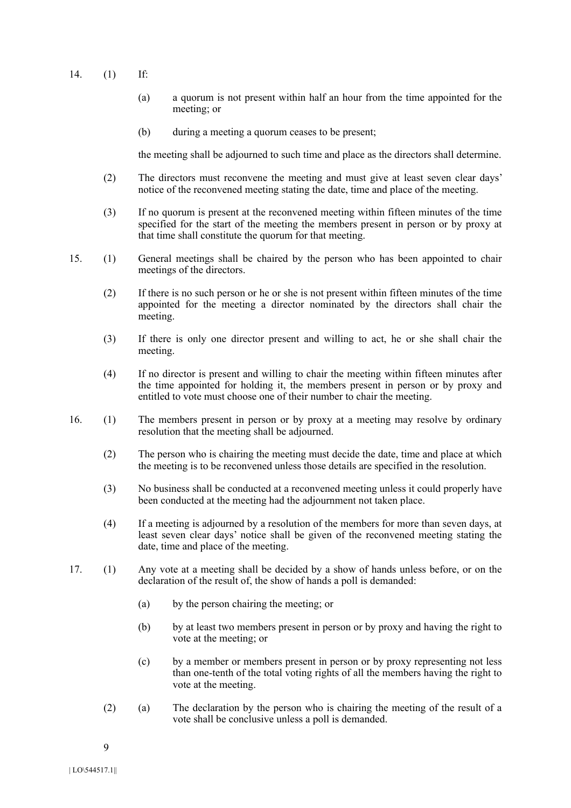- 14. (1) If:
	- (a) a quorum is not present within half an hour from the time appointed for the meeting; or
	- (b) during a meeting a quorum ceases to be present;

the meeting shall be adjourned to such time and place as the directors shall determine.

- (2) The directors must reconvene the meeting and must give at least seven clear days' notice of the reconvened meeting stating the date, time and place of the meeting.
- (3) If no quorum is present at the reconvened meeting within fifteen minutes of the time specified for the start of the meeting the members present in person or by proxy at that time shall constitute the quorum for that meeting.
- 15. (1) General meetings shall be chaired by the person who has been appointed to chair meetings of the directors.
	- (2) If there is no such person or he or she is not present within fifteen minutes of the time appointed for the meeting a director nominated by the directors shall chair the meeting.
	- (3) If there is only one director present and willing to act, he or she shall chair the meeting.
	- (4) If no director is present and willing to chair the meeting within fifteen minutes after the time appointed for holding it, the members present in person or by proxy and entitled to vote must choose one of their number to chair the meeting.
- 16. (1) The members present in person or by proxy at a meeting may resolve by ordinary resolution that the meeting shall be adjourned.
	- (2) The person who is chairing the meeting must decide the date, time and place at which the meeting is to be reconvened unless those details are specified in the resolution.
	- (3) No business shall be conducted at a reconvened meeting unless it could properly have been conducted at the meeting had the adjournment not taken place.
	- (4) If a meeting is adjourned by a resolution of the members for more than seven days, at least seven clear days' notice shall be given of the reconvened meeting stating the date, time and place of the meeting.
- 17. (1) Any vote at a meeting shall be decided by a show of hands unless before, or on the declaration of the result of, the show of hands a poll is demanded:
	- (a) by the person chairing the meeting; or
	- (b) by at least two members present in person or by proxy and having the right to vote at the meeting; or
	- (c) by a member or members present in person or by proxy representing not less than one-tenth of the total voting rights of all the members having the right to vote at the meeting.
	- (2) (a) The declaration by the person who is chairing the meeting of the result of a vote shall be conclusive unless a poll is demanded.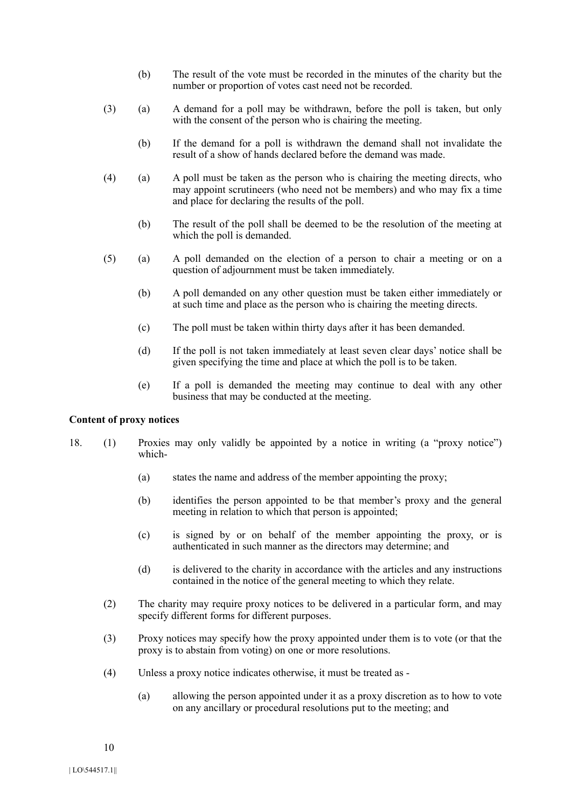- (b) The result of the vote must be recorded in the minutes of the charity but the number or proportion of votes cast need not be recorded.
- (3) (a) A demand for a poll may be withdrawn, before the poll is taken, but only with the consent of the person who is chairing the meeting.
	- (b) If the demand for a poll is withdrawn the demand shall not invalidate the result of a show of hands declared before the demand was made.
- (4) (a) A poll must be taken as the person who is chairing the meeting directs, who may appoint scrutineers (who need not be members) and who may fix a time and place for declaring the results of the poll.
	- (b) The result of the poll shall be deemed to be the resolution of the meeting at which the poll is demanded.
- (5) (a) A poll demanded on the election of a person to chair a meeting or on a question of adjournment must be taken immediately.
	- (b) A poll demanded on any other question must be taken either immediately or at such time and place as the person who is chairing the meeting directs.
	- (c) The poll must be taken within thirty days after it has been demanded.
	- (d) If the poll is not taken immediately at least seven clear days' notice shall be given specifying the time and place at which the poll is to be taken.
	- (e) If a poll is demanded the meeting may continue to deal with any other business that may be conducted at the meeting.

## **Content of proxy notices**

- 18. (1) Proxies may only validly be appointed by a notice in writing (a "proxy notice") which-
	- (a) states the name and address of the member appointing the proxy;
	- (b) identifies the person appointed to be that member's proxy and the general meeting in relation to which that person is appointed;
	- (c) is signed by or on behalf of the member appointing the proxy, or is authenticated in such manner as the directors may determine; and
	- (d) is delivered to the charity in accordance with the articles and any instructions contained in the notice of the general meeting to which they relate.
	- (2) The charity may require proxy notices to be delivered in a particular form, and may specify different forms for different purposes.
	- (3) Proxy notices may specify how the proxy appointed under them is to vote (or that the proxy is to abstain from voting) on one or more resolutions.
	- (4) Unless a proxy notice indicates otherwise, it must be treated as
		- (a) allowing the person appointed under it as a proxy discretion as to how to vote on any ancillary or procedural resolutions put to the meeting; and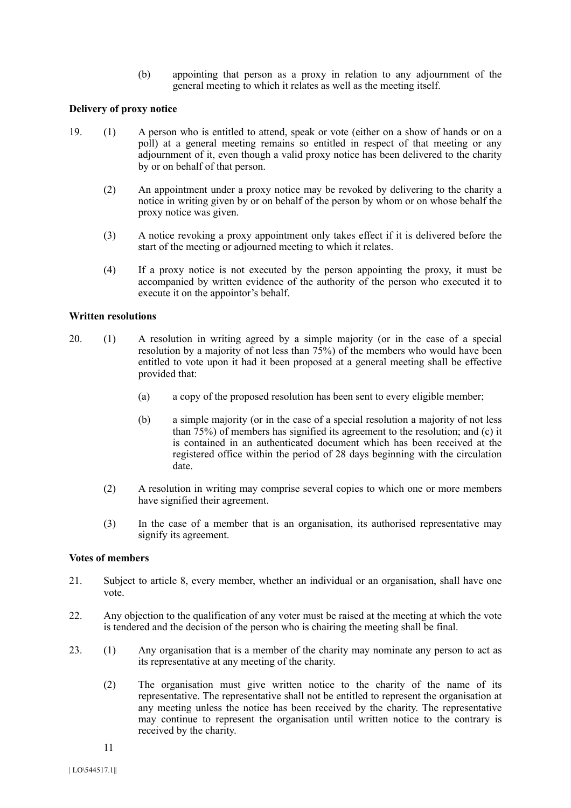(b) appointing that person as a proxy in relation to any adjournment of the general meeting to which it relates as well as the meeting itself.

### **Delivery of proxy notice**

- 19. (1) A person who is entitled to attend, speak or vote (either on a show of hands or on a poll) at a general meeting remains so entitled in respect of that meeting or any adjournment of it, even though a valid proxy notice has been delivered to the charity by or on behalf of that person.
	- (2) An appointment under a proxy notice may be revoked by delivering to the charity a notice in writing given by or on behalf of the person by whom or on whose behalf the proxy notice was given.
	- (3) A notice revoking a proxy appointment only takes effect if it is delivered before the start of the meeting or adjourned meeting to which it relates.
	- (4) If a proxy notice is not executed by the person appointing the proxy, it must be accompanied by written evidence of the authority of the person who executed it to execute it on the appointor's behalf.

#### **Written resolutions**

- 20. (1) A resolution in writing agreed by a simple majority (or in the case of a special resolution by a majority of not less than 75%) of the members who would have been entitled to vote upon it had it been proposed at a general meeting shall be effective provided that:
	- (a) a copy of the proposed resolution has been sent to every eligible member;
	- (b) a simple majority (or in the case of a special resolution a majority of not less than  $75\%$ ) of members has signified its agreement to the resolution; and (c) it is contained in an authenticated document which has been received at the registered office within the period of 28 days beginning with the circulation date.
	- (2) A resolution in writing may comprise several copies to which one or more members have signified their agreement.
	- (3) In the case of a member that is an organisation, its authorised representative may signify its agreement.

## **Votes of members**

- 21. Subject to article 8, every member, whether an individual or an organisation, shall have one vote.
- 22. Any objection to the qualification of any voter must be raised at the meeting at which the vote is tendered and the decision of the person who is chairing the meeting shall be final.
- 23. (1) Any organisation that is a member of the charity may nominate any person to act as its representative at any meeting of the charity.
	- (2) The organisation must give written notice to the charity of the name of its representative. The representative shall not be entitled to represent the organisation at any meeting unless the notice has been received by the charity. The representative may continue to represent the organisation until written notice to the contrary is received by the charity.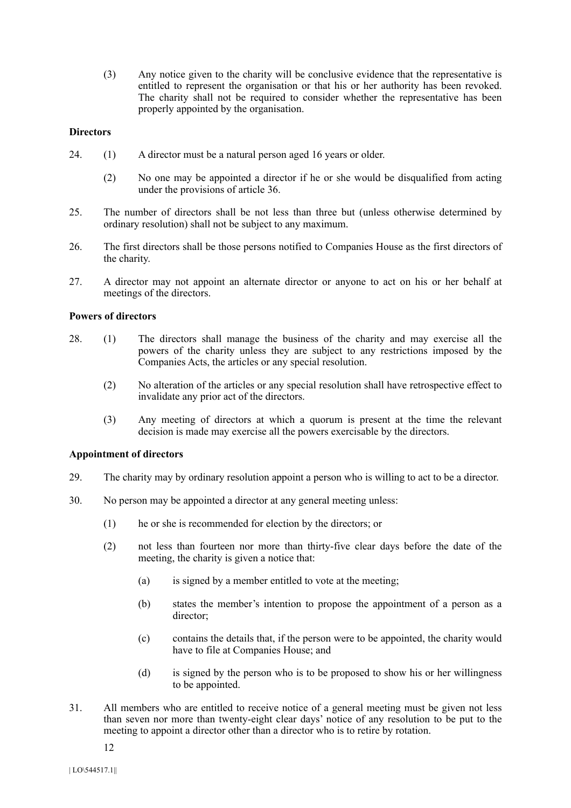(3) Any notice given to the charity will be conclusive evidence that the representative is entitled to represent the organisation or that his or her authority has been revoked. The charity shall not be required to consider whether the representative has been properly appointed by the organisation.

## **Directors**

- 24. (1) A director must be a natural person aged 16 years or older.
	- (2) No one may be appointed a director if he or she would be disqualified from acting under the provisions of article 36.
- 25. The number of directors shall be not less than three but (unless otherwise determined by ordinary resolution) shall not be subject to any maximum.
- 26. The first directors shall be those persons notified to Companies House as the first directors of the charity.
- 27. A director may not appoint an alternate director or anyone to act on his or her behalf at meetings of the directors.

## **Powers of directors**

- 28. (1) The directors shall manage the business of the charity and may exercise all the powers of the charity unless they are subject to any restrictions imposed by the Companies Acts, the articles or any special resolution.
	- (2) No alteration of the articles or any special resolution shall have retrospective effect to invalidate any prior act of the directors.
	- (3) Any meeting of directors at which a quorum is present at the time the relevant decision is made may exercise all the powers exercisable by the directors.

## **Appointment of directors**

- 29. The charity may by ordinary resolution appoint a person who is willing to act to be a director.
- 30. No person may be appointed a director at any general meeting unless:
	- (1) he or she is recommended for election by the directors; or
	- (2) not less than fourteen nor more than thirty-five clear days before the date of the meeting, the charity is given a notice that:
		- (a) is signed by a member entitled to vote at the meeting;
		- (b) states the member's intention to propose the appointment of a person as a director;
		- (c) contains the details that, if the person were to be appointed, the charity would have to file at Companies House; and
		- (d) is signed by the person who is to be proposed to show his or her willingness to be appointed.
- 31. All members who are entitled to receive notice of a general meeting must be given not less than seven nor more than twenty-eight clear days' notice of any resolution to be put to the meeting to appoint a director other than a director who is to retire by rotation.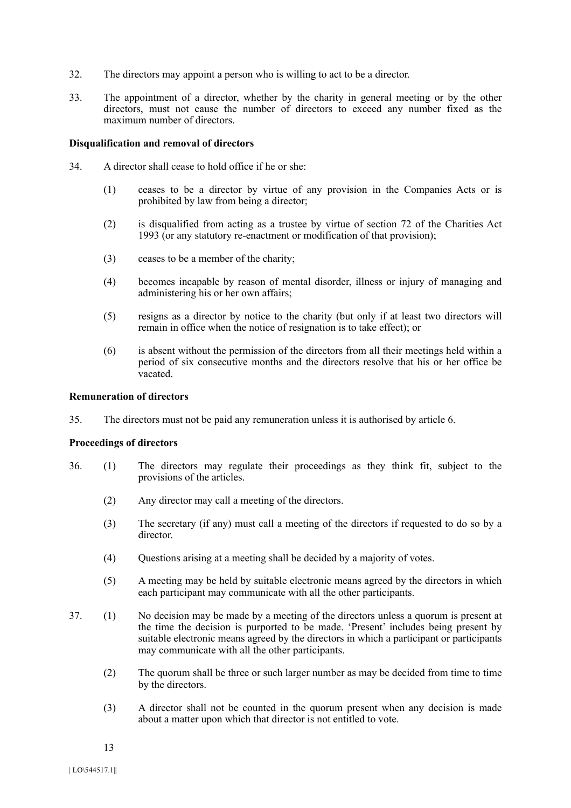- 32. The directors may appoint a person who is willing to act to be a director.
- 33. The appointment of a director, whether by the charity in general meeting or by the other directors, must not cause the number of directors to exceed any number fixed as the maximum number of directors.

### **Disqualification and removal of directors**

- 34. A director shall cease to hold office if he or she:
	- (1) ceases to be a director by virtue of any provision in the Companies Acts or is prohibited by law from being a director;
	- (2) is disqualified from acting as a trustee by virtue of section 72 of the Charities Act 1993 (or any statutory re-enactment or modification of that provision);
	- (3) ceases to be a member of the charity;
	- (4) becomes incapable by reason of mental disorder, illness or injury of managing and administering his or her own affairs;
	- (5) resigns as a director by notice to the charity (but only if at least two directors will remain in office when the notice of resignation is to take effect); or
	- (6) is absent without the permission of the directors from all their meetings held within a period of six consecutive months and the directors resolve that his or her office be vacated.

#### **Remuneration of directors**

35. The directors must not be paid any remuneration unless it is authorised by article 6.

#### **Proceedings of directors**

- 36. (1) The directors may regulate their proceedings as they think fit, subject to the provisions of the articles.
	- (2) Any director may call a meeting of the directors.
	- (3) The secretary (if any) must call a meeting of the directors if requested to do so by a director.
	- (4) Questions arising at a meeting shall be decided by a majority of votes.
	- (5) A meeting may be held by suitable electronic means agreed by the directors in which each participant may communicate with all the other participants.
- 37. (1) No decision may be made by a meeting of the directors unless a quorum is present at the time the decision is purported to be made. 'Present' includes being present by suitable electronic means agreed by the directors in which a participant or participants may communicate with all the other participants.
	- (2) The quorum shall be three or such larger number as may be decided from time to time by the directors.
	- (3) A director shall not be counted in the quorum present when any decision is made about a matter upon which that director is not entitled to vote.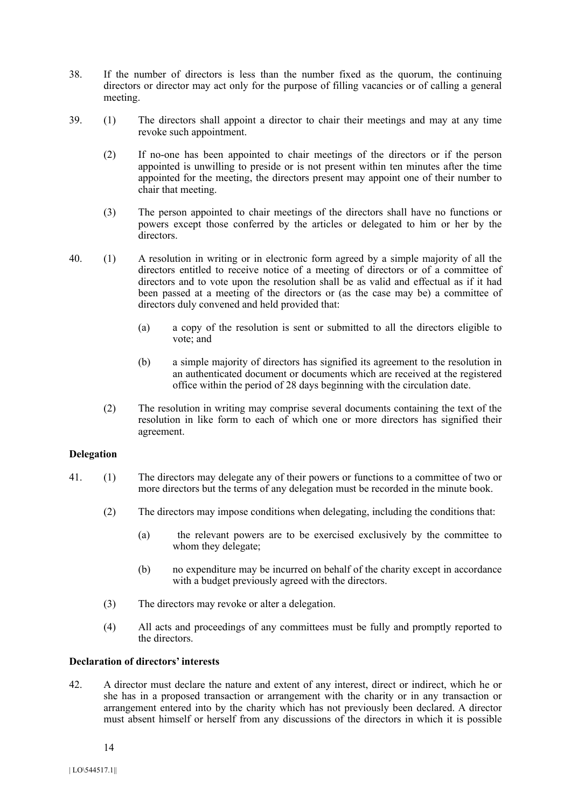- 38. If the number of directors is less than the number fixed as the quorum, the continuing directors or director may act only for the purpose of filling vacancies or of calling a general meeting.
- 39. (1) The directors shall appoint a director to chair their meetings and may at any time revoke such appointment.
	- (2) If no-one has been appointed to chair meetings of the directors or if the person appointed is unwilling to preside or is not present within ten minutes after the time appointed for the meeting, the directors present may appoint one of their number to chair that meeting.
	- (3) The person appointed to chair meetings of the directors shall have no functions or powers except those conferred by the articles or delegated to him or her by the directors.
- 40. (1) A resolution in writing or in electronic form agreed by a simple majority of all the directors entitled to receive notice of a meeting of directors or of a committee of directors and to vote upon the resolution shall be as valid and effectual as if it had been passed at a meeting of the directors or (as the case may be) a committee of directors duly convened and held provided that:
	- (a) a copy of the resolution is sent or submitted to all the directors eligible to vote; and
	- (b) a simple majority of directors has signified its agreement to the resolution in an authenticated document or documents which are received at the registered office within the period of 28 days beginning with the circulation date.
	- (2) The resolution in writing may comprise several documents containing the text of the resolution in like form to each of which one or more directors has signified their agreement.

## **Delegation**

- 41. (1) The directors may delegate any of their powers or functions to a committee of two or more directors but the terms of any delegation must be recorded in the minute book.
	- (2) The directors may impose conditions when delegating, including the conditions that:
		- (a) the relevant powers are to be exercised exclusively by the committee to whom they delegate;
		- (b) no expenditure may be incurred on behalf of the charity except in accordance with a budget previously agreed with the directors.
	- (3) The directors may revoke or alter a delegation.
	- (4) All acts and proceedings of any committees must be fully and promptly reported to the directors.

### **Declaration of directors' interests**

42. A director must declare the nature and extent of any interest, direct or indirect, which he or she has in a proposed transaction or arrangement with the charity or in any transaction or arrangement entered into by the charity which has not previously been declared. A director must absent himself or herself from any discussions of the directors in which it is possible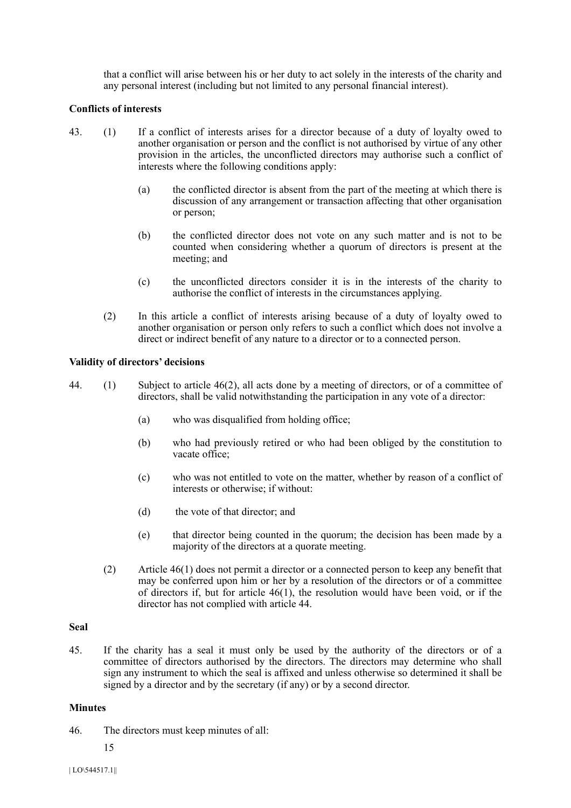that a conflict will arise between his or her duty to act solely in the interests of the charity and any personal interest (including but not limited to any personal financial interest).

### **Conflicts of interests**

- 43. (1) If a conflict of interests arises for a director because of a duty of loyalty owed to another organisation or person and the conflict is not authorised by virtue of any other provision in the articles, the unconflicted directors may authorise such a conflict of interests where the following conditions apply:
	- (a) the conflicted director is absent from the part of the meeting at which there is discussion of any arrangement or transaction affecting that other organisation or person;
	- (b) the conflicted director does not vote on any such matter and is not to be counted when considering whether a quorum of directors is present at the meeting; and
	- (c) the unconflicted directors consider it is in the interests of the charity to authorise the conflict of interests in the circumstances applying.
	- (2) In this article a conflict of interests arising because of a duty of loyalty owed to another organisation or person only refers to such a conflict which does not involve a direct or indirect benefit of any nature to a director or to a connected person.

#### **Validity of directors' decisions**

- 44. (1) Subject to article 46(2), all acts done by a meeting of directors, or of a committee of directors, shall be valid notwithstanding the participation in any vote of a director:
	- (a) who was disqualified from holding office;
	- (b) who had previously retired or who had been obliged by the constitution to vacate office;
	- (c) who was not entitled to vote on the matter, whether by reason of a conflict of interests or otherwise; if without:
	- (d) the vote of that director; and
	- (e) that director being counted in the quorum; the decision has been made by a majority of the directors at a quorate meeting.
	- (2) Article 46(1) does not permit a director or a connected person to keep any benefit that may be conferred upon him or her by a resolution of the directors or of a committee of directors if, but for article 46(1), the resolution would have been void, or if the director has not complied with article 44.

#### **Seal**

45. If the charity has a seal it must only be used by the authority of the directors or of a committee of directors authorised by the directors. The directors may determine who shall sign any instrument to which the seal is affixed and unless otherwise so determined it shall be signed by a director and by the secretary (if any) or by a second director.

#### **Minutes**

46. The directors must keep minutes of all:

15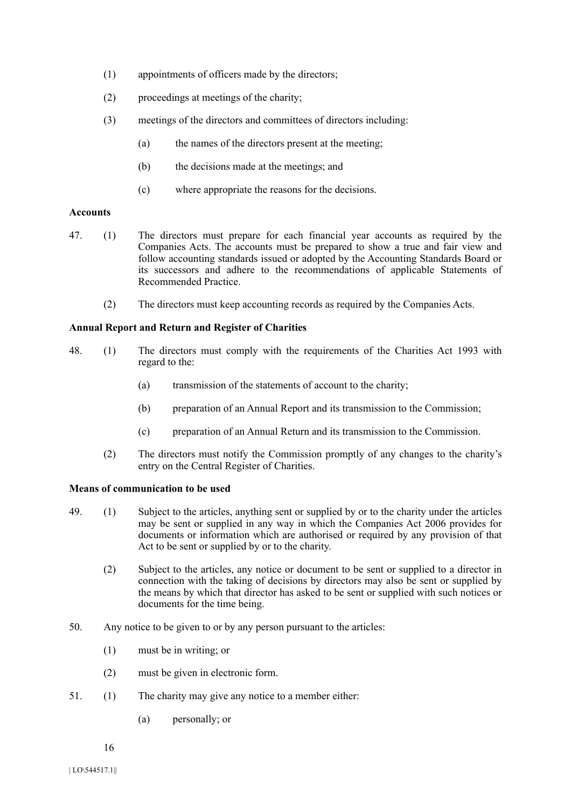- (1) appointments of officers made by the directors;
- (2) proceedings at meetings of the charity;
- (3) meetings of the directors and committees of directors including:
	- (a) the names of the directors present at the meeting;
	- (b) the decisions made at the meetings; and
	- (c) where appropriate the reasons for the decisions.

# **Accounts**

- 47. (1) The directors must prepare for each financial year accounts as required by the Companies Acts. The accounts must be prepared to show a true and fair view and follow accounting standards issued or adopted by the Accounting Standards Board or its successors and adhere to the recommendations of applicable Statements of Recommended Practice.
	- (2) The directors must keep accounting records as required by the Companies Acts.

# **Annual Report and Return and Register of Charities**

- 48. (1) The directors must comply with the requirements of the Charities Act 1993 with regard to the:
	- (a) transmission of the statements of account to the charity;
	- (b) preparation of an Annual Report and its transmission to the Commission;
	- (c) preparation of an Annual Return and its transmission to the Commission.
	- (2) The directors must notify the Commission promptly of any changes to the charity's entry on the Central Register of Charities.

# **Means of communication to be used**

- 49. (1) Subject to the articles, anything sent or supplied by or to the charity under the articles may be sent or supplied in any way in which the Companies Act 2006 provides for documents or information which are authorised or required by any provision of that Act to be sent or supplied by or to the charity.
	- (2) Subject to the articles, any notice or document to be sent or supplied to a director in connection with the taking of decisions by directors may also be sent or supplied by the means by which that director has asked to be sent or supplied with such notices or documents for the time being.
- 50. Any notice to be given to or by any person pursuant to the articles:
	- (1) must be in writing; or
	- (2) must be given in electronic form.
- 51. (1) The charity may give any notice to a member either:
	- (a) personally; or
	- 16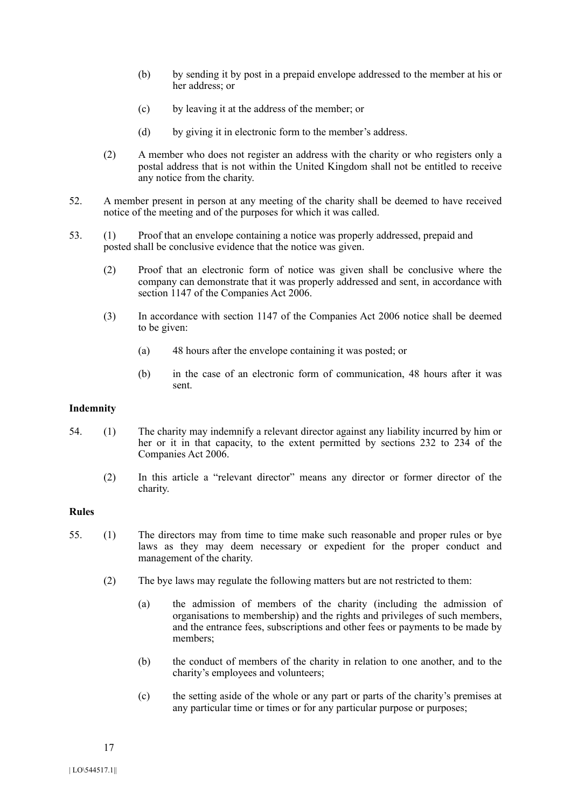- (b) by sending it by post in a prepaid envelope addressed to the member at his or her address; or
- (c) by leaving it at the address of the member; or
- (d) by giving it in electronic form to the member's address.
- (2) A member who does not register an address with the charity or who registers only a postal address that is not within the United Kingdom shall not be entitled to receive any notice from the charity.
- 52. A member present in person at any meeting of the charity shall be deemed to have received notice of the meeting and of the purposes for which it was called.
- 53. (1) Proof that an envelope containing a notice was properly addressed, prepaid and posted shall be conclusive evidence that the notice was given.
	- (2) Proof that an electronic form of notice was given shall be conclusive where the company can demonstrate that it was properly addressed and sent, in accordance with section 1147 of the Companies Act 2006.
	- (3) In accordance with section 1147 of the Companies Act 2006 notice shall be deemed to be given:
		- (a) 48 hours after the envelope containing it was posted; or
		- (b) in the case of an electronic form of communication, 48 hours after it was sent.

### **Indemnity**

- 54. (1) The charity may indemnify a relevant director against any liability incurred by him or her or it in that capacity, to the extent permitted by sections 232 to 234 of the Companies Act 2006.
	- (2) In this article a "relevant director" means any director or former director of the charity.

#### **Rules**

- 55. (1) The directors may from time to time make such reasonable and proper rules or bye laws as they may deem necessary or expedient for the proper conduct and management of the charity.
	- (2) The bye laws may regulate the following matters but are not restricted to them:
		- (a) the admission of members of the charity (including the admission of organisations to membership) and the rights and privileges of such members, and the entrance fees, subscriptions and other fees or payments to be made by members;
		- (b) the conduct of members of the charity in relation to one another, and to the charity's employees and volunteers;
		- (c) the setting aside of the whole or any part or parts of the charity's premises at any particular time or times or for any particular purpose or purposes;